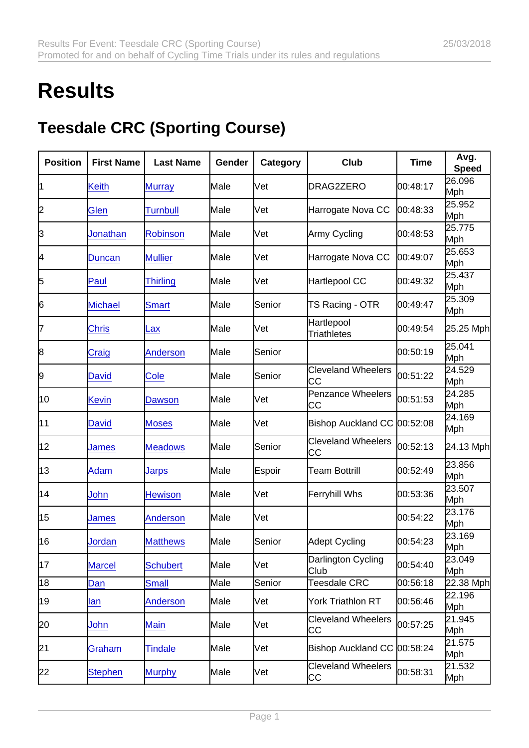## **Results**

## Teesdale CRC (Sporting Course)

| Position        | <b>First Name</b> | Last Name       | Gender | Category | Club                             | Time     | Avg.<br>Speed        |
|-----------------|-------------------|-----------------|--------|----------|----------------------------------|----------|----------------------|
| 11              | <b>Keith</b>      | <b>Murray</b>   | Male   | Vet      | DRAG2ZERO                        | 00:48:17 | 26.096<br>Mph        |
| 2               | Glen              | <b>Turnbull</b> | Male   | Vet      | Harrogate Nova CC                | 00:48:33 | 25.952<br>Mph        |
| 3               | Jonathan          | <b>Robinson</b> | Male   | Vet      | Army Cycling                     | 00:48:53 | 25.775<br>Mph        |
| 4               | Duncan            | <b>Mullier</b>  | Male   | Vet      | Harrogate Nova CC                | 00:49:07 | 25.653<br>Mph        |
| 5               | Paul              | <b>Thirling</b> | Male   | Vet      | Hartlepool CC                    | 00:49:32 | 25.437<br>Mph        |
| 6               | Michael           | <b>Smart</b>    | Male   | Senior   | TS Racing - OTR                  | 00:49:47 | 25.309<br>Mph        |
| 17              | <b>Chris</b>      | Lax             | Male   | Vet      | Hartlepool<br><b>Triathletes</b> | 00:49:54 | 25.25 Mph            |
| 8               | Craig             | <b>Anderson</b> | Male   | Senior   |                                  | 00:50:19 | 25.041<br>Mph        |
| 9               | <b>David</b>      | Cole            | Male   | Senior   | <b>Cleveland Wheelers</b><br>СC  | 00:51:22 | 24.529<br>Mph        |
| 10              | <b>Kevin</b>      | Dawson          | Male   | Vet      | <b>Penzance Wheelers</b><br>СC   | 00:51:53 | 24.285<br>Mph        |
| 11              | <b>David</b>      | <b>Moses</b>    | Male   | Vet      | Bishop Auckland CC 00:52:08      |          | 24.169<br>Mph        |
| 12              | James             | <b>Meadows</b>  | Male   | Senior   | <b>Cleveland Wheelers</b><br>СC  | 00:52:13 | 24.13 Mph            |
| 13              | Adam              | Jarps           | Male   | Espoir   | <b>Team Bottrill</b>             | 00:52:49 | 23.856<br>Mph        |
| 14              | John              | <b>Hewison</b>  | Male   | Vet      | Ferryhill Whs                    | 00:53:36 | 23.507<br>Mph        |
| 15              | James             | <b>Anderson</b> | Male   | Vet      |                                  | 00:54:22 | 23.176<br>Mph        |
| 16              | Jordan            | <b>Matthews</b> | Male   | Senior   | <b>Adept Cycling</b>             | 00:54:23 | 23.169<br>Mph        |
| 17              | <b>Marcel</b>     | <b>Schubert</b> | Male   | Vet      | Darlington Cycling<br>Club       | 00:54:40 | 23.049<br><b>Mph</b> |
| $\overline{18}$ | Dan               | <b>Small</b>    | Male   | Senior   | Teesdale CRC                     | 00:56:18 | 22.38 Mph            |
| 19              | lan               | <b>Anderson</b> | Male   | Vet      | York Triathlon RT                | 00:56:46 | 22.196<br>Mph        |
| 20              | John              | <b>Main</b>     | Male   | Vet      | <b>Cleveland Wheelers</b><br>СC  | 00:57:25 | 21.945<br>Mph        |
| 21              | Graham            | <b>Tindale</b>  | Male   | Vet      | Bishop Auckland CC 00:58:24      |          | 21.575<br>Mph        |
| 22              | <b>Stephen</b>    | <b>Murphy</b>   | Male   | Vet      | <b>Cleveland Wheelers</b><br>СC  | 00:58:31 | 21.532<br>Mph        |